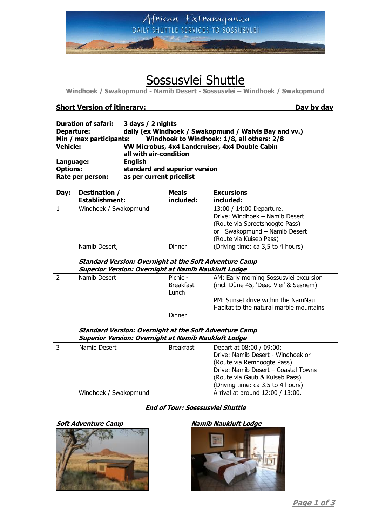

# Sossusvlei Shuttle

**Windhoek / Swakopmund - Namib Desert - Sossusvlei – Windhoek / Swakopmund**

# **Short Version of itinerary: Day by day**

| <b>Duration of safari:</b>                                            | 3 days / 2 nights                                     |  |  |  |
|-----------------------------------------------------------------------|-------------------------------------------------------|--|--|--|
| Departure:                                                            | daily (ex Windhoek / Swakopmund / Walvis Bay and vv.) |  |  |  |
| Windhoek to Windhoek: 1/8, all others: 2/8<br>Min / max participants: |                                                       |  |  |  |
| <b>Vehicle:</b>                                                       | VW Microbus, 4x4 Landcruiser, 4x4 Double Cabin        |  |  |  |
|                                                                       | all with air-condition                                |  |  |  |
| Language:                                                             | <b>English</b>                                        |  |  |  |
| <b>Options:</b>                                                       | standard and superior version                         |  |  |  |
| Rate per person:                                                      | as per current pricelist                              |  |  |  |

| Day: | Destination /                                                 | <b>Meals</b>     | <b>Excursions</b>                       |
|------|---------------------------------------------------------------|------------------|-----------------------------------------|
|      | <b>Establishment:</b>                                         | included:        | included:                               |
| 1    | Windhoek / Swakopmund                                         |                  | 13:00 / 14:00 Departure.                |
|      |                                                               |                  | Drive: Windhoek - Namib Desert          |
|      |                                                               |                  | (Route via Spreetshoogte Pass)          |
|      |                                                               |                  | or Swakopmund - Namib Desert            |
|      |                                                               |                  | (Route via Kuiseb Pass)                 |
|      | Namib Desert,                                                 | <b>Dinner</b>    | (Driving time: ca 3,5 to 4 hours)       |
|      | <b>Standard Version: Overnight at the Soft Adventure Camp</b> |                  |                                         |
|      | <b>Superior Version: Overnight at Namib Naukluft Lodge</b>    |                  |                                         |
| 2    | Namib Desert                                                  | Picnic -         | AM: Early morning Sossusvlei excursion  |
|      |                                                               | <b>Breakfast</b> | (incl. Dűne 45, 'Dead Vlei' & Sesriem)  |
|      |                                                               | Lunch            |                                         |
|      |                                                               |                  | PM: Sunset drive within the NamNau      |
|      |                                                               |                  | Habitat to the natural marble mountains |
|      |                                                               | Dinner           |                                         |
|      | <b>Standard Version: Overnight at the Soft Adventure Camp</b> |                  |                                         |
|      | <b>Superior Version: Overnight at Namib Naukluft Lodge</b>    |                  |                                         |
| 3    | Namib Desert                                                  | <b>Breakfast</b> | Depart at 08:00 / 09:00:                |
|      |                                                               |                  | Drive: Namib Desert - Windhoek or       |
|      |                                                               |                  | (Route via Remhoogte Pass)              |
|      |                                                               |                  | Drive: Namib Desert - Coastal Towns     |
|      |                                                               |                  | (Route via Gaub & Kuiseb Pass)          |
|      |                                                               |                  |                                         |
|      |                                                               |                  | (Driving time: ca 3.5 to 4 hours)       |
|      | Windhoek / Swakopmund                                         |                  | Arrival at around 12:00 / 13:00.        |
|      |                                                               |                  |                                         |

# **End of Tour: Sosssusvlei Shuttle**



### **Soft Adventure Camp Namib Naukluft Lodge**

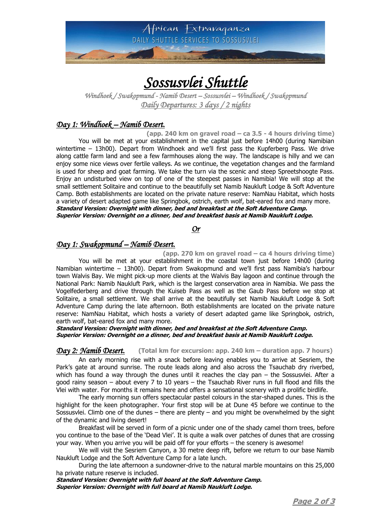

# *Sossusvlei Shuttle*

*Windhoek / Swakopmund - Namib Desert – Sossusvlei – Windhoek / Swakopmund Daily Departures: 3 days / 2 nights* 

# *Day 1: Windhoek – Namib Desert.*

**(app. 240 km on gravel road – ca 3.5 - 4 hours driving time)** You will be met at your establishment in the capital just before 14h00 (during Namibian wintertime – 13h00). Depart from Windhoek and we'll first pass the Kupferberg Pass. We drive along cattle farm land and see a few farmhouses along the way. The landscape is hilly and we can enjoy some nice views over fertile valleys. As we continue, the vegetation changes and the farmland is used for sheep and goat farming. We take the turn via the scenic and steep Spreetshoogte Pass. Enjoy an undisturbed view on top of one of the steepest passes in Namibia! We will stop at the small settlement Solitaire and continue to the beautifully set Namib Naukluft Lodge & Soft Adventure Camp. Both establishments are located on the private nature reserve: NamNau Habitat, which hosts a variety of desert adapted game like Springbok, ostrich, earth wolf, bat-eared fox and many more. **Standard Version: Overnight with dinner, bed and breakfast at the Soft Adventure Camp. Superior Version: Overnight on a dinner, bed and breakfast basis at Namib Naukluft Lodge.**

*Or* 

# *Day 1: Swakopmund – Namib Desert.*

**(app. 270 km on gravel road – ca 4 hours driving time)** You will be met at your establishment in the coastal town just before 14h00 (during Namibian wintertime – 13h00). Depart from Swakopmund and we'll first pass Namibia's harbour town Walvis Bay. We might pick-up more clients at the Walvis Bay lagoon and continue through the National Park: Namib Naukluft Park, which is the largest conservation area in Namibia. We pass the Vogelfederberg and drive through the Kuiseb Pass as well as the Gaub Pass before we stop at Solitaire, a small settlement. We shall arrive at the beautifully set Namib Naukluft Lodge & Soft Adventure Camp during the late afternoon. Both establishments are located on the private nature reserve: NamNau Habitat, which hosts a variety of desert adapted game like Springbok, ostrich, earth wolf, bat-eared fox and many more.

### **Standard Version: Overnight with dinner, bed and breakfast at the Soft Adventure Camp. Superior Version: Overnight on a dinner, bed and breakfast basis at Namib Naukluft Lodge.**

*Day 2: Namib Desert.* **(Total km for excursion: app. 240 km – duration app. 7 hours)**

An early morning rise with a snack before leaving enables you to arrive at Sesriem, the Park's gate at around sunrise. The route leads along and also across the Tsauchab dry riverbed, which has found a way through the dunes until it reaches the clay pan  $-$  the Sossusvlei. After a good rainy season – about every 7 to 10 years – the Tsauchab River runs in full flood and fills the Vlei with water. For months it remains here and offers a sensational scenery with a prolific birdlife.

The early morning sun offers spectacular pastel colours in the star-shaped dunes. This is the highlight for the keen photographer. Your first stop will be at Dune 45 before we continue to the Sossusvlei. Climb one of the dunes – there are plenty – and you might be overwhelmed by the sight of the dynamic and living desert!

Breakfast will be served in form of a picnic under one of the shady camel thorn trees, before you continue to the base of the 'Dead Vlei'. It is quite a walk over patches of dunes that are crossing your way. When you arrive you will be paid off for your efforts – the scenery is awesome!

We will visit the Sesriem Canyon, a 30 metre deep rift, before we return to our base Namib Naukluft Lodge and the Soft Adventure Camp for a late lunch.

During the late afternoon a sundowner-drive to the natural marble mountains on this 25,000 ha private nature reserve is included.

**Standard Version: Overnight with full board at the Soft Adventure Camp. Superior Version: Overnight with full board at Namib Naukluft Lodge.**